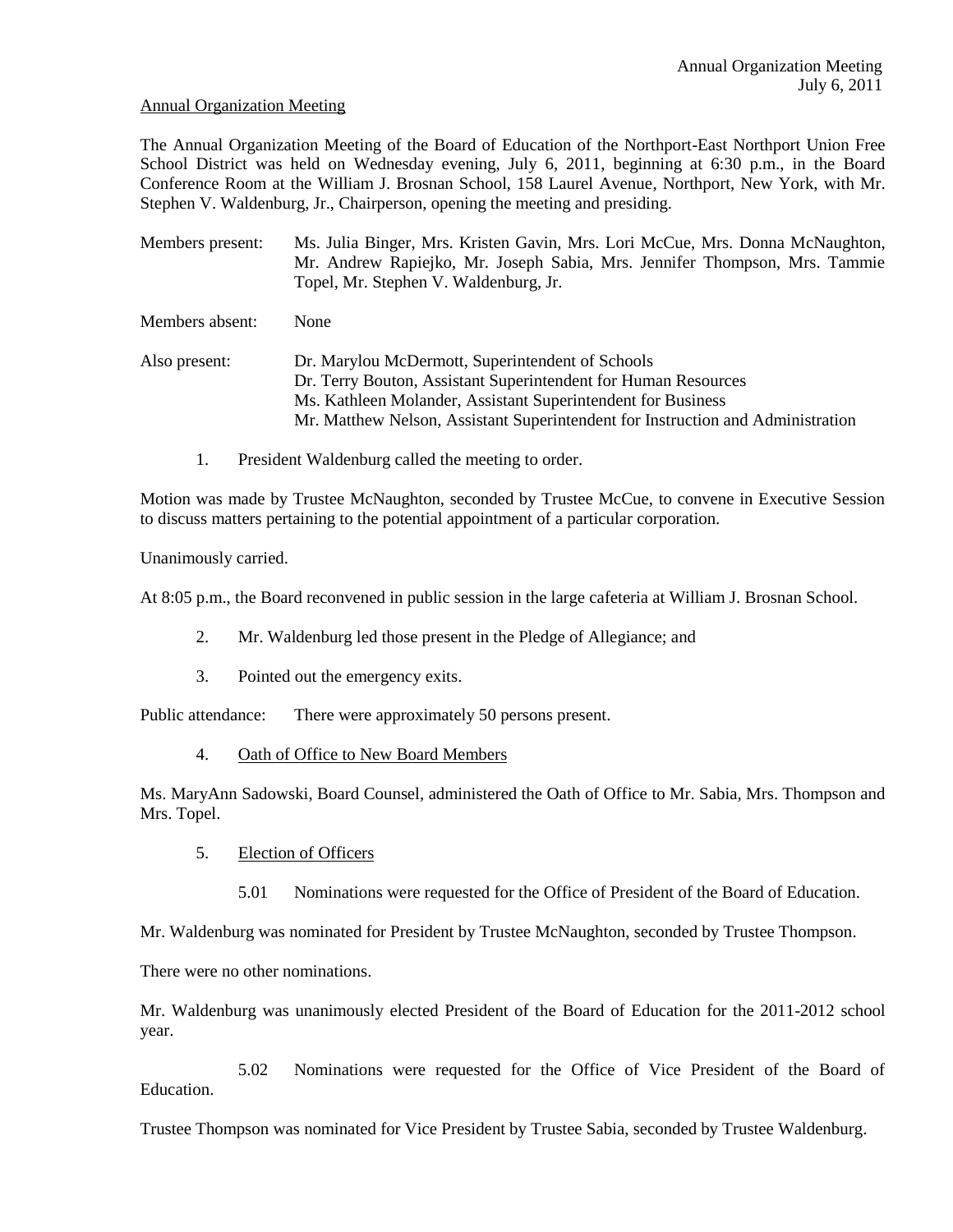#### Annual Organization Meeting

The Annual Organization Meeting of the Board of Education of the Northport-East Northport Union Free School District was held on Wednesday evening, July 6, 2011, beginning at 6:30 p.m., in the Board Conference Room at the William J. Brosnan School, 158 Laurel Avenue, Northport, New York, with Mr. Stephen V. Waldenburg, Jr., Chairperson, opening the meeting and presiding.

Members present: Ms. Julia Binger, Mrs. Kristen Gavin, Mrs. Lori McCue, Mrs. Donna McNaughton, Mr. Andrew Rapiejko, Mr. Joseph Sabia, Mrs. Jennifer Thompson, Mrs. Tammie Topel, Mr. Stephen V. Waldenburg, Jr.

Members absent: None

Also present: Dr. Marylou McDermott, Superintendent of Schools Dr. Terry Bouton, Assistant Superintendent for Human Resources Ms. Kathleen Molander, Assistant Superintendent for Business Mr. Matthew Nelson, Assistant Superintendent for Instruction and Administration

1. President Waldenburg called the meeting to order.

Motion was made by Trustee McNaughton, seconded by Trustee McCue, to convene in Executive Session to discuss matters pertaining to the potential appointment of a particular corporation.

Unanimously carried.

At 8:05 p.m., the Board reconvened in public session in the large cafeteria at William J. Brosnan School.

- 2. Mr. Waldenburg led those present in the Pledge of Allegiance; and
- 3. Pointed out the emergency exits.

Public attendance: There were approximately 50 persons present.

4. Oath of Office to New Board Members

Ms. MaryAnn Sadowski, Board Counsel, administered the Oath of Office to Mr. Sabia, Mrs. Thompson and Mrs. Topel.

- 5. Election of Officers
	- 5.01 Nominations were requested for the Office of President of the Board of Education.

Mr. Waldenburg was nominated for President by Trustee McNaughton, seconded by Trustee Thompson.

There were no other nominations.

Mr. Waldenburg was unanimously elected President of the Board of Education for the 2011-2012 school year.

5.02 Nominations were requested for the Office of Vice President of the Board of Education.

Trustee Thompson was nominated for Vice President by Trustee Sabia, seconded by Trustee Waldenburg.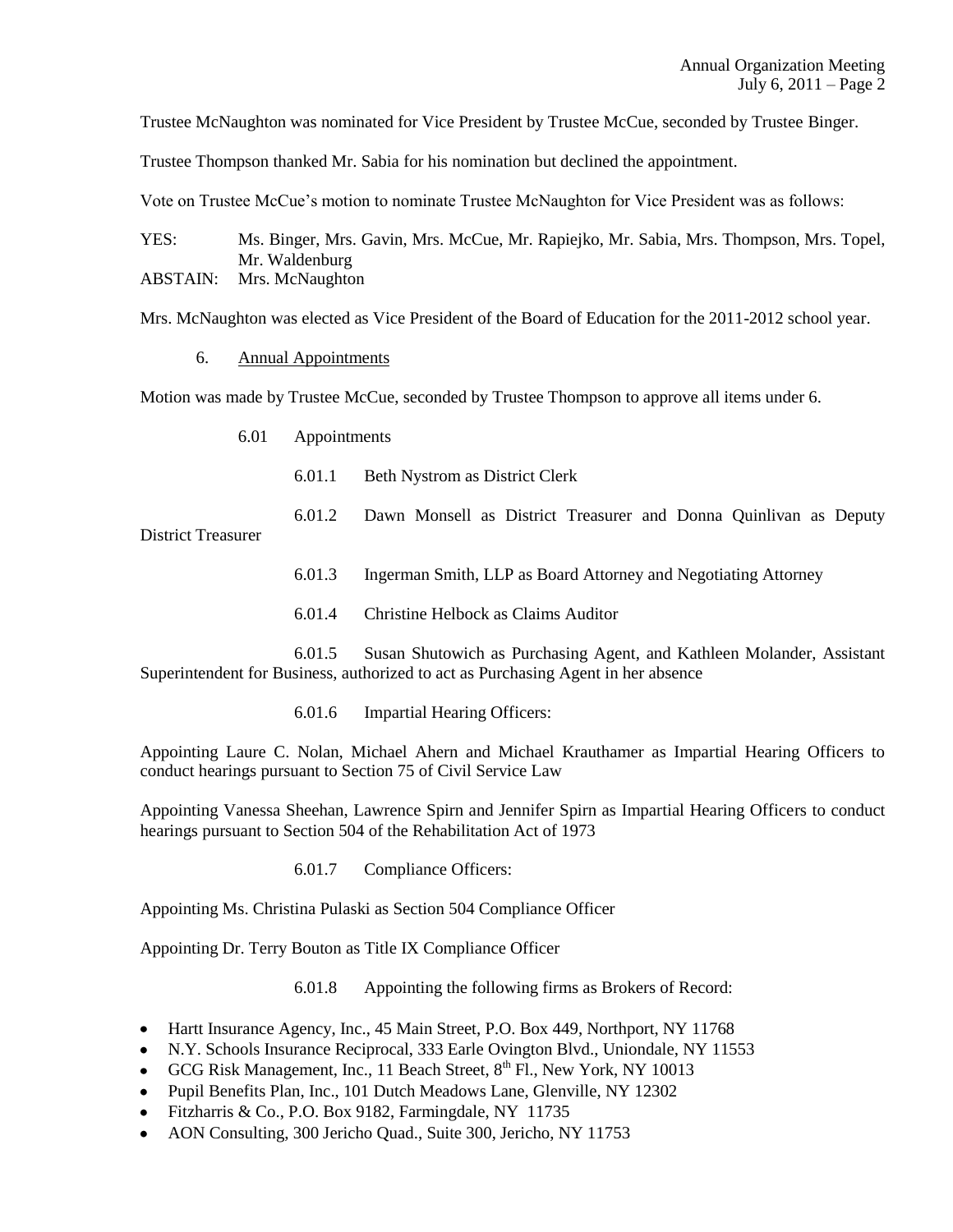Trustee McNaughton was nominated for Vice President by Trustee McCue, seconded by Trustee Binger.

Trustee Thompson thanked Mr. Sabia for his nomination but declined the appointment.

Vote on Trustee McCue's motion to nominate Trustee McNaughton for Vice President was as follows:

YES: Ms. Binger, Mrs. Gavin, Mrs. McCue, Mr. Rapiejko, Mr. Sabia, Mrs. Thompson, Mrs. Topel, Mr. Waldenburg

ABSTAIN: Mrs. McNaughton

Mrs. McNaughton was elected as Vice President of the Board of Education for the 2011-2012 school year.

6. Annual Appointments

Motion was made by Trustee McCue, seconded by Trustee Thompson to approve all items under 6.

- 6.01 Appointments
	- 6.01.1 Beth Nystrom as District Clerk

6.01.2 Dawn Monsell as District Treasurer and Donna Quinlivan as Deputy District Treasurer

- 6.01.3 Ingerman Smith, LLP as Board Attorney and Negotiating Attorney
- 6.01.4 Christine Helbock as Claims Auditor

6.01.5 Susan Shutowich as Purchasing Agent, and Kathleen Molander, Assistant Superintendent for Business, authorized to act as Purchasing Agent in her absence

6.01.6 Impartial Hearing Officers:

Appointing Laure C. Nolan, Michael Ahern and Michael Krauthamer as Impartial Hearing Officers to conduct hearings pursuant to Section 75 of Civil Service Law

Appointing Vanessa Sheehan, Lawrence Spirn and Jennifer Spirn as Impartial Hearing Officers to conduct hearings pursuant to Section 504 of the Rehabilitation Act of 1973

6.01.7 Compliance Officers:

Appointing Ms. Christina Pulaski as Section 504 Compliance Officer

Appointing Dr. Terry Bouton as Title IX Compliance Officer

6.01.8 Appointing the following firms as Brokers of Record:

- Hartt Insurance Agency, Inc., 45 Main Street, P.O. Box 449, Northport, NY 11768
- N.Y. Schools Insurance Reciprocal, 333 Earle Ovington Blvd., Uniondale, NY 11553
- GCG Risk Management, Inc., 11 Beach Street,  $8<sup>th</sup>$  Fl., New York, NY 10013
- Pupil Benefits Plan, Inc., 101 Dutch Meadows Lane, Glenville, NY 12302
- Fitzharris & Co., P.O. Box 9182, Farmingdale, NY 11735
- AON Consulting, 300 Jericho Quad., Suite 300, Jericho, NY 11753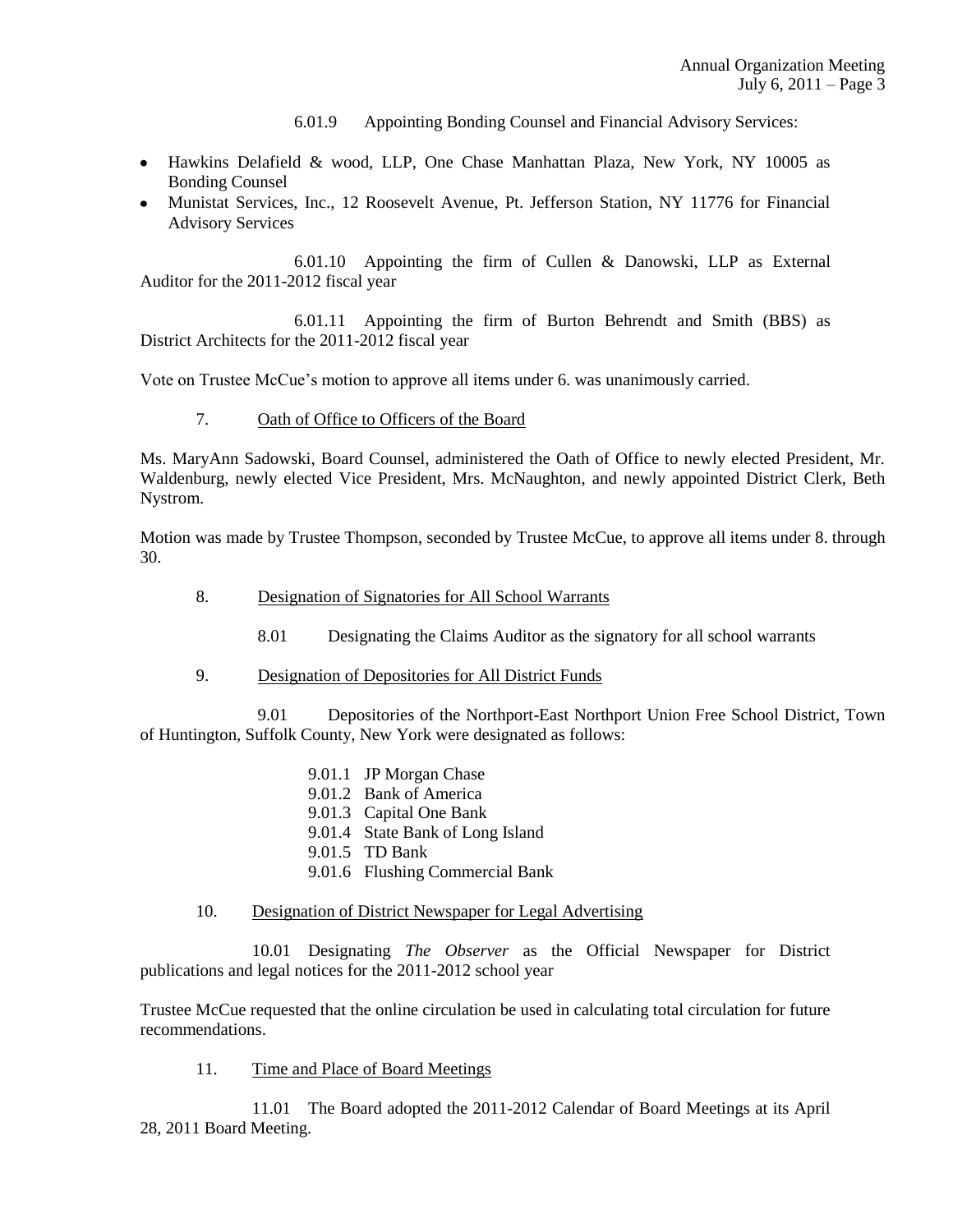6.01.9 Appointing Bonding Counsel and Financial Advisory Services:

- Hawkins Delafield & wood, LLP, One Chase Manhattan Plaza, New York, NY 10005 as Bonding Counsel
- Munistat Services, Inc., 12 Roosevelt Avenue, Pt. Jefferson Station, NY 11776 for Financial Advisory Services

6.01.10 Appointing the firm of Cullen & Danowski, LLP as External Auditor for the 2011-2012 fiscal year

6.01.11 Appointing the firm of Burton Behrendt and Smith (BBS) as District Architects for the 2011-2012 fiscal year

Vote on Trustee McCue's motion to approve all items under 6. was unanimously carried.

7. Oath of Office to Officers of the Board

Ms. MaryAnn Sadowski, Board Counsel, administered the Oath of Office to newly elected President, Mr. Waldenburg, newly elected Vice President, Mrs. McNaughton, and newly appointed District Clerk, Beth Nystrom.

Motion was made by Trustee Thompson, seconded by Trustee McCue, to approve all items under 8. through 30.

- 8. Designation of Signatories for All School Warrants
	- 8.01 Designating the Claims Auditor as the signatory for all school warrants
- 9. Designation of Depositories for All District Funds

9.01 Depositories of the Northport-East Northport Union Free School District, Town of Huntington, Suffolk County, New York were designated as follows:

- 9.01.1 JP Morgan Chase
- 9.01.2 Bank of America
- 9.01.3 Capital One Bank
- 9.01.4 State Bank of Long Island
- 9.01.5 TD Bank
- 9.01.6 Flushing Commercial Bank

# 10. Designation of District Newspaper for Legal Advertising

10.01 Designating *The Observer* as the Official Newspaper for District publications and legal notices for the 2011-2012 school year

Trustee McCue requested that the online circulation be used in calculating total circulation for future recommendations.

11. Time and Place of Board Meetings

11.01 The Board adopted the 2011-2012 Calendar of Board Meetings at its April 28, 2011 Board Meeting.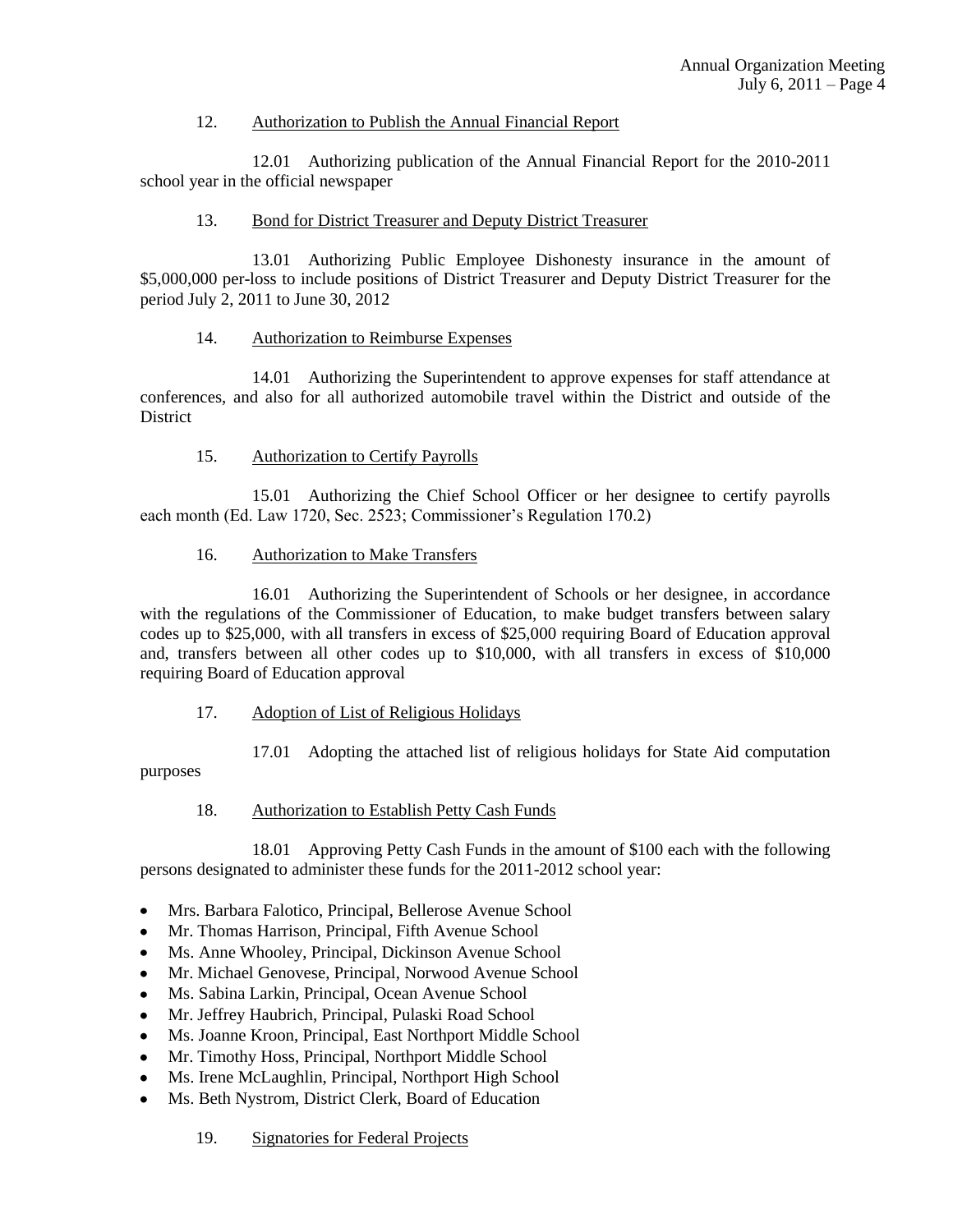# 12. Authorization to Publish the Annual Financial Report

12.01 Authorizing publication of the Annual Financial Report for the 2010-2011 school year in the official newspaper

# 13. Bond for District Treasurer and Deputy District Treasurer

13.01 Authorizing Public Employee Dishonesty insurance in the amount of \$5,000,000 per-loss to include positions of District Treasurer and Deputy District Treasurer for the period July 2, 2011 to June 30, 2012

### 14. Authorization to Reimburse Expenses

14.01 Authorizing the Superintendent to approve expenses for staff attendance at conferences, and also for all authorized automobile travel within the District and outside of the **District** 

### 15. Authorization to Certify Payrolls

15.01 Authorizing the Chief School Officer or her designee to certify payrolls each month (Ed. Law 1720, Sec. 2523; Commissioner's Regulation 170.2)

### 16. Authorization to Make Transfers

16.01 Authorizing the Superintendent of Schools or her designee, in accordance with the regulations of the Commissioner of Education, to make budget transfers between salary codes up to \$25,000, with all transfers in excess of \$25,000 requiring Board of Education approval and, transfers between all other codes up to \$10,000, with all transfers in excess of \$10,000 requiring Board of Education approval

# 17. Adoption of List of Religious Holidays

17.01 Adopting the attached list of religious holidays for State Aid computation

purposes

#### 18. Authorization to Establish Petty Cash Funds

18.01 Approving Petty Cash Funds in the amount of \$100 each with the following persons designated to administer these funds for the 2011-2012 school year:

- Mrs. Barbara Falotico, Principal, Bellerose Avenue School
- Mr. Thomas Harrison, Principal, Fifth Avenue School  $\bullet$
- Ms. Anne Whooley, Principal, Dickinson Avenue School
- Mr. Michael Genovese, Principal, Norwood Avenue School
- Ms. Sabina Larkin, Principal, Ocean Avenue School  $\bullet$
- Mr. Jeffrey Haubrich, Principal, Pulaski Road School  $\bullet$
- Ms. Joanne Kroon, Principal, East Northport Middle School
- Mr. Timothy Hoss, Principal, Northport Middle School
- Ms. Irene McLaughlin, Principal, Northport High School
- Ms. Beth Nystrom, District Clerk, Board of Education
	- 19. Signatories for Federal Projects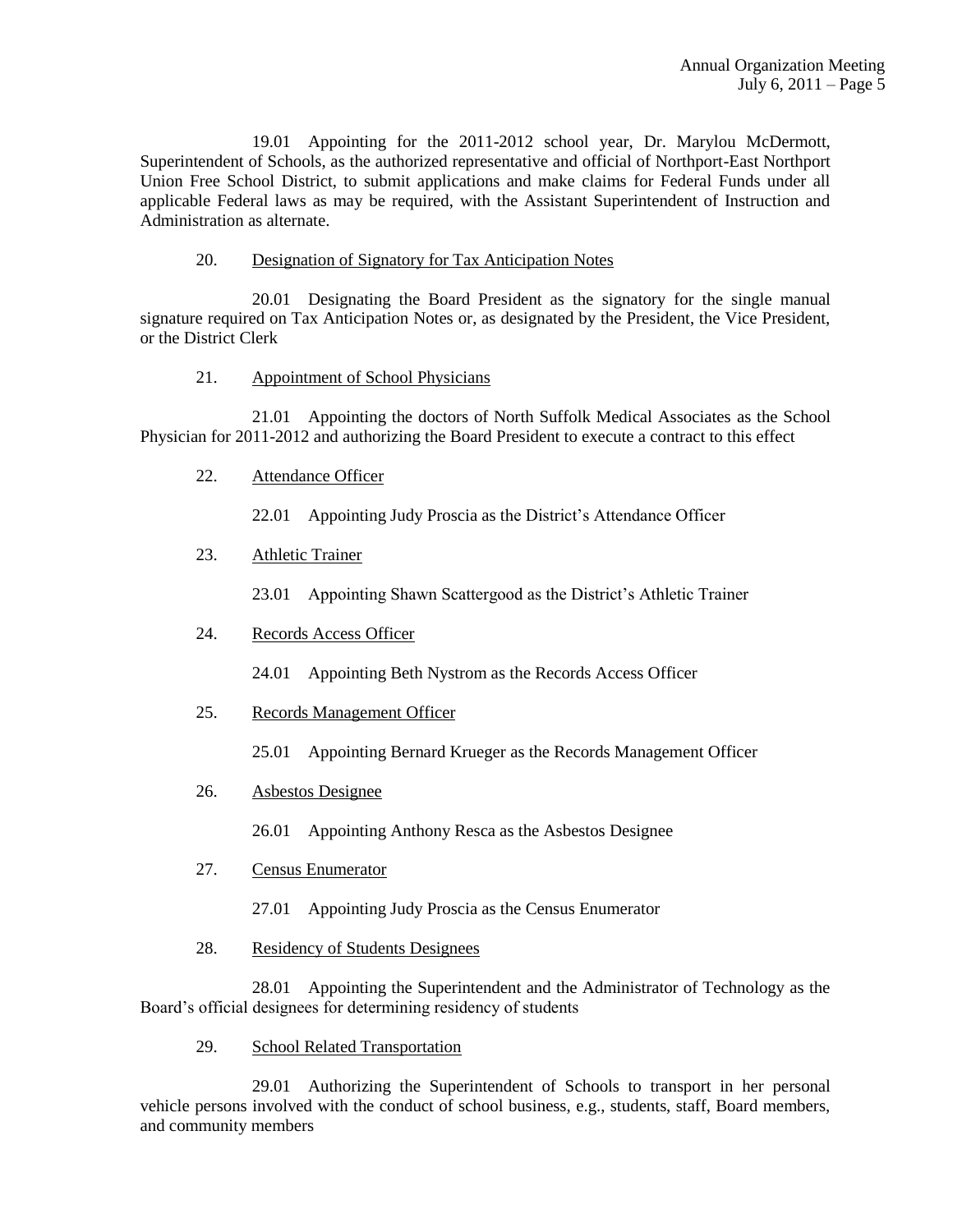19.01 Appointing for the 2011-2012 school year, Dr. Marylou McDermott, Superintendent of Schools, as the authorized representative and official of Northport-East Northport Union Free School District, to submit applications and make claims for Federal Funds under all applicable Federal laws as may be required, with the Assistant Superintendent of Instruction and Administration as alternate.

### 20. Designation of Signatory for Tax Anticipation Notes

20.01 Designating the Board President as the signatory for the single manual signature required on Tax Anticipation Notes or, as designated by the President, the Vice President, or the District Clerk

### 21. Appointment of School Physicians

21.01 Appointing the doctors of North Suffolk Medical Associates as the School Physician for 2011-2012 and authorizing the Board President to execute a contract to this effect

22. Attendance Officer

22.01 Appointing Judy Proscia as the District's Attendance Officer

### 23. Athletic Trainer

23.01 Appointing Shawn Scattergood as the District's Athletic Trainer

# 24. Records Access Officer

24.01 Appointing Beth Nystrom as the Records Access Officer

- 25. Records Management Officer
	- 25.01 Appointing Bernard Krueger as the Records Management Officer

# 26. Asbestos Designee

26.01 Appointing Anthony Resca as the Asbestos Designee

- 27. Census Enumerator
	- 27.01 Appointing Judy Proscia as the Census Enumerator
- 28. Residency of Students Designees

28.01 Appointing the Superintendent and the Administrator of Technology as the Board's official designees for determining residency of students

29. School Related Transportation

29.01 Authorizing the Superintendent of Schools to transport in her personal vehicle persons involved with the conduct of school business, e.g., students, staff, Board members, and community members